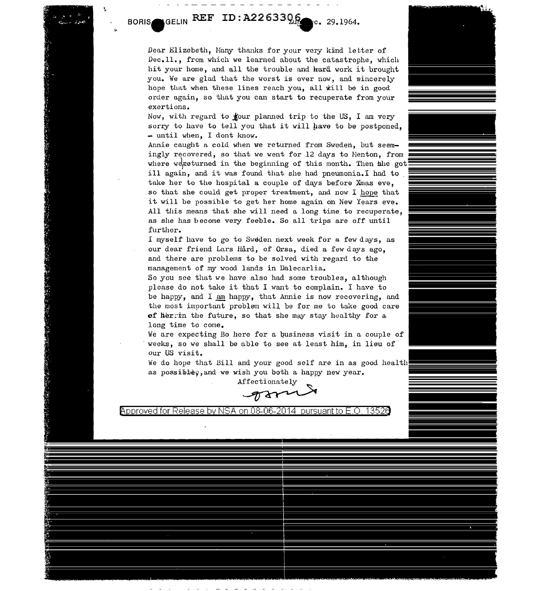GELIN REF ID: A2263306 **BORIS**  $rc. 29.1964.$ 

Dear Elizebeth, Many thanks for your very kind letter of Dec. 11., from which we learned about the catastrophe, which hit your home, and all the trouble and hard work it brought you. *We* are glad that the worst is over now, and sincerely hope that when these lines reach you, all will be in good order again, so that you can start to recuperate from your exertions.

Now, with regard to **four** planned trip to the US, I am very sorry to have to tell you that it will have to be postponed. - until when, I dont know.

Annie caught a cold when we returned from Sweden, but seem-<br>ingly recovered, so that we went for 12 days to Menton, from where we returned in the beginning of this month. Then she got ill again, and it was found that she had pneumonia.I had to take her to the hospital a couple of days before Xmas eve, so that she could get proper treatment, and now I hope that it will be possible to get her home again on New Years eve. All this means that she will need a long time to recuperate, as she has become very feeble. So all trips are off until further.

I myself have to go to Sweden next week for a few days, as our dear friend Lars Hård, of Orsa, died a few days ago, and there are problems to be solved with regard to the management of my wood lands in Dalecarlia.

So you see that we have also had some troubles, although please do not take it that I want to complain. I have to be happy, and I am happy, that Annie is now recovering, and the most important problem will be for me to take good care of herrin the future, so that she may stay healthy for a long time to come.

We are expecting Bo here for a business visit in a couple of weeks, so we shall be able to see at least him, in lieu of our US visit.

We do hope that Bill and your good self are in as good health as possible<sub>9</sub>, and we wish you both a happy new year.



Approved for Release by NSA on 08-06-2014 pursuant to E.O. 1352a